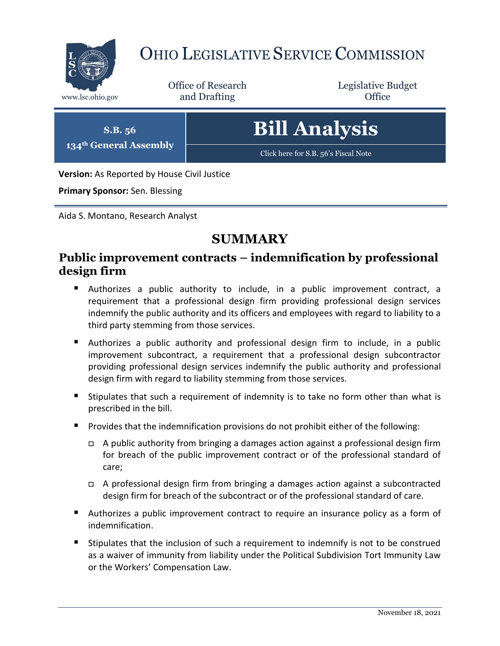

# OHIO LEGISLATIVE SERVICE COMMISSION

Office of Research www.lsc.ohio.gov **and Drafting Office** 

Legislative Budget

**S.B. 56 134th General Assembly** **Bill Analysis**

[Click here for S.B. 56](https://www.legislature.ohio.gov/legislation/legislation-documents?id=GA134-SB-56)'s Fiscal Note

**Version:** As Reported by House Civil Justice

**Primary Sponsor:** Sen. Blessing

Aida S. Montano, Research Analyst

# **SUMMARY**

# **Public improvement contracts – indemnification by professional design firm**

- Authorizes a public authority to include, in a public improvement contract, a requirement that a professional design firm providing professional design services indemnify the public authority and its officers and employees with regard to liability to a third party stemming from those services.
- Authorizes a public authority and professional design firm to include, in a public improvement subcontract, a requirement that a professional design subcontractor providing professional design services indemnify the public authority and professional design firm with regard to liability stemming from those services.
- Stipulates that such a requirement of indemnity is to take no form other than what is prescribed in the bill.
- **Provides that the indemnification provisions do not prohibit either of the following:** 
	- □ A public authority from bringing a damages action against a professional design firm for breach of the public improvement contract or of the professional standard of care;
	- □ A professional design firm from bringing a damages action against a subcontracted design firm for breach of the subcontract or of the professional standard of care.
- Authorizes a public improvement contract to require an insurance policy as a form of indemnification.
- Stipulates that the inclusion of such a requirement to indemnify is not to be construed as a waiver of immunity from liability under the Political Subdivision Tort Immunity Law or the Workers' Compensation Law.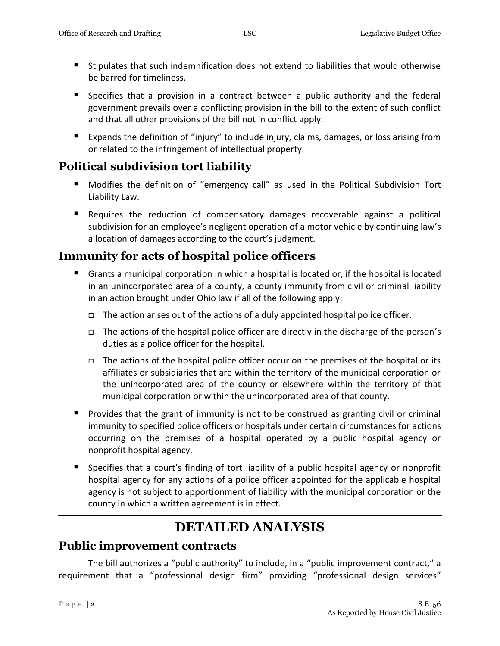- Stipulates that such indemnification does not extend to liabilities that would otherwise be barred for timeliness.
- Specifies that a provision in a contract between a public authority and the federal government prevails over a conflicting provision in the bill to the extent of such conflict and that all other provisions of the bill not in conflict apply.
- Expands the definition of "injury" to include injury, claims, damages, or loss arising from or related to the infringement of intellectual property.

# **Political subdivision tort liability**

- Modifies the definition of "emergency call" as used in the Political Subdivision Tort Liability Law.
- Requires the reduction of compensatory damages recoverable against a political subdivision for an employee's negligent operation of a motor vehicle by continuing law's allocation of damages according to the court's judgment.

# **Immunity for acts of hospital police officers**

- Grants a municipal corporation in which a hospital is located or, if the hospital is located in an unincorporated area of a county, a county immunity from civil or criminal liability in an action brought under Ohio law if all of the following apply:
	- $\Box$  The action arises out of the actions of a duly appointed hospital police officer.
	- The actions of the hospital police officer are directly in the discharge of the person's duties as a police officer for the hospital.
	- $\Box$  The actions of the hospital police officer occur on the premises of the hospital or its affiliates or subsidiaries that are within the territory of the municipal corporation or the unincorporated area of the county or elsewhere within the territory of that municipal corporation or within the unincorporated area of that county.
- **Provides that the grant of immunity is not to be construed as granting civil or criminal** immunity to specified police officers or hospitals under certain circumstances for actions occurring on the premises of a hospital operated by a public hospital agency or nonprofit hospital agency.
- Specifies that a court's finding of tort liability of a public hospital agency or nonprofit hospital agency for any actions of a police officer appointed for the applicable hospital agency is not subject to apportionment of liability with the municipal corporation or the county in which a written agreement is in effect.

# **DETAILED ANALYSIS**

# **Public improvement contracts**

The bill authorizes a "public authority" to include, in a "public improvement contract," a requirement that a "professional design firm" providing "professional design services"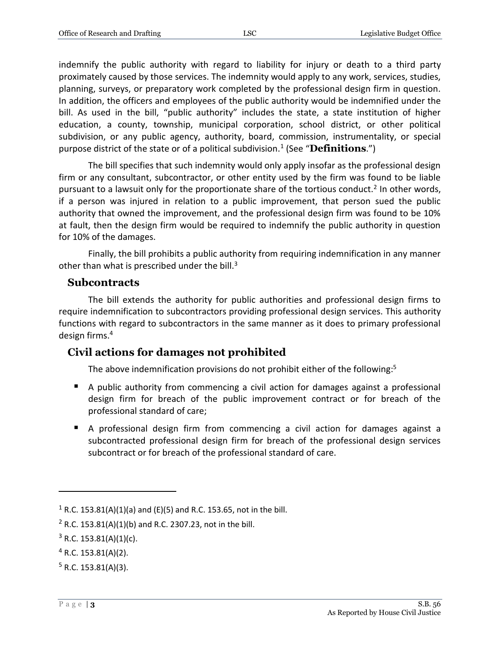indemnify the public authority with regard to liability for injury or death to a third party proximately caused by those services. The indemnity would apply to any work, services, studies, planning, surveys, or preparatory work completed by the professional design firm in question. In addition, the officers and employees of the public authority would be indemnified under the bill. As used in the bill, "public authority" includes the state, a state institution of higher education, a county, township, municipal corporation, school district, or other political subdivision, or any public agency, authority, board, commission, instrumentality, or special purpose district of the state or of a political subdivision.<sup>1</sup> (See "**Definitions**.")

The bill specifies that such indemnity would only apply insofar as the professional design firm or any consultant, subcontractor, or other entity used by the firm was found to be liable pursuant to a lawsuit only for the proportionate share of the tortious conduct.<sup>2</sup> In other words, if a person was injured in relation to a public improvement, that person sued the public authority that owned the improvement, and the professional design firm was found to be 10% at fault, then the design firm would be required to indemnify the public authority in question for 10% of the damages.

Finally, the bill prohibits a public authority from requiring indemnification in any manner other than what is prescribed under the bill. $3$ 

#### **Subcontracts**

The bill extends the authority for public authorities and professional design firms to require indemnification to subcontractors providing professional design services. This authority functions with regard to subcontractors in the same manner as it does to primary professional design firms.<sup>4</sup>

### **Civil actions for damages not prohibited**

The above indemnification provisions do not prohibit either of the following:<sup>5</sup>

- A public authority from commencing a civil action for damages against a professional design firm for breach of the public improvement contract or for breach of the professional standard of care;
- A professional design firm from commencing a civil action for damages against a subcontracted professional design firm for breach of the professional design services subcontract or for breach of the professional standard of care.

<sup>&</sup>lt;sup>1</sup> R.C. 153.81(A)(1)(a) and (E)(5) and R.C. 153.65, not in the bill.

<sup>&</sup>lt;sup>2</sup> R.C. 153.81(A)(1)(b) and R.C. 2307.23, not in the bill.

 $3$  R.C. 153.81(A)(1)(c).

 $4$  R.C. 153.81(A)(2).

 $5$  R.C. 153.81(A)(3).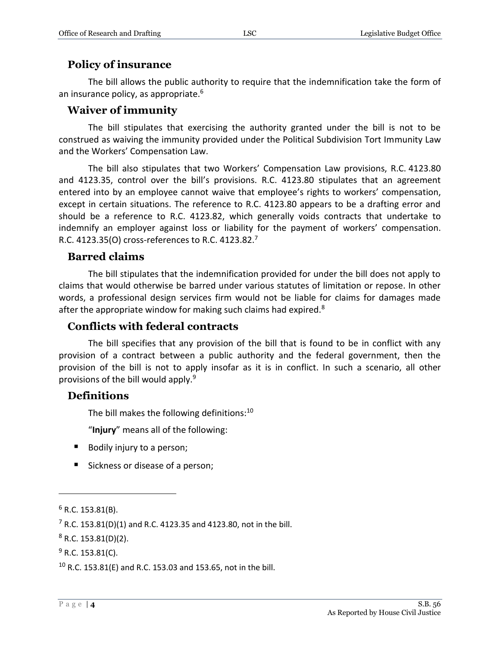#### **Policy of insurance**

The bill allows the public authority to require that the indemnification take the form of an insurance policy, as appropriate.<sup>6</sup>

#### **Waiver of immunity**

The bill stipulates that exercising the authority granted under the bill is not to be construed as waiving the immunity provided under the Political Subdivision Tort Immunity Law and the Workers' Compensation Law.

The bill also stipulates that two Workers' Compensation Law provisions, R.C. 4123.80 and 4123.35, control over the bill's provisions. R.C. 4123.80 stipulates that an agreement entered into by an employee cannot waive that employee's rights to workers' compensation, except in certain situations. The reference to R.C. 4123.80 appears to be a drafting error and should be a reference to R.C. 4123.82, which generally voids contracts that undertake to indemnify an employer against loss or liability for the payment of workers' compensation. R.C. 4123.35(O) cross-references to R.C. 4123.82.<sup>7</sup>

#### **Barred claims**

The bill stipulates that the indemnification provided for under the bill does not apply to claims that would otherwise be barred under various statutes of limitation or repose. In other words, a professional design services firm would not be liable for claims for damages made after the appropriate window for making such claims had expired.<sup>8</sup>

#### **Conflicts with federal contracts**

The bill specifies that any provision of the bill that is found to be in conflict with any provision of a contract between a public authority and the federal government, then the provision of the bill is not to apply insofar as it is in conflict. In such a scenario, all other provisions of the bill would apply.<sup>9</sup>

#### **Definitions**

The bill makes the following definitions:<sup>10</sup>

"**Injury**" means all of the following:

- Bodily injury to a person;
- Sickness or disease of a person;

 $\overline{a}$ 

 $8$  R.C. 153.81(D)(2).

 $6$  R.C. 153.81(B).

<sup>&</sup>lt;sup>7</sup> R.C. 153.81(D)(1) and R.C. 4123.35 and 4123.80, not in the bill.

 $9$  R.C. 153.81(C).

 $10$  R.C. 153.81(E) and R.C. 153.03 and 153.65, not in the bill.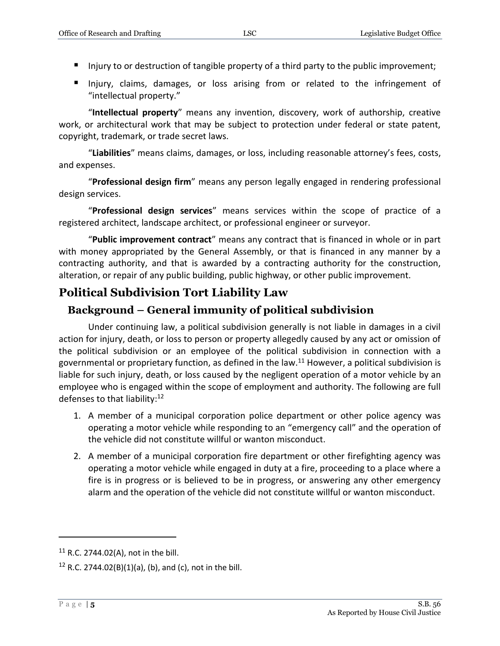- Injury to or destruction of tangible property of a third party to the public improvement;
- Injury, claims, damages, or loss arising from or related to the infringement of "intellectual property."

"**Intellectual property**" means any invention, discovery, work of authorship, creative work, or architectural work that may be subject to protection under federal or state patent, copyright, trademark, or trade secret laws.

"**Liabilities**" means claims, damages, or loss, including reasonable attorney's fees, costs, and expenses.

"**Professional design firm**" means any person legally engaged in rendering professional design services.

"**Professional design services**" means services within the scope of practice of a registered architect, landscape architect, or professional engineer or surveyor.

"**Public improvement contract**" means any contract that is financed in whole or in part with money appropriated by the General Assembly, or that is financed in any manner by a contracting authority, and that is awarded by a contracting authority for the construction, alteration, or repair of any public building, public highway, or other public improvement.

# **Political Subdivision Tort Liability Law**

## **Background – General immunity of political subdivision**

Under continuing law, a political subdivision generally is not liable in damages in a civil action for injury, death, or loss to person or property allegedly caused by any act or omission of the political subdivision or an employee of the political subdivision in connection with a governmental or proprietary function, as defined in the law.<sup>11</sup> However, a political subdivision is liable for such injury, death, or loss caused by the negligent operation of a motor vehicle by an employee who is engaged within the scope of employment and authority. The following are full defenses to that liability:<sup>12</sup>

- 1. A member of a municipal corporation police department or other police agency was operating a motor vehicle while responding to an "emergency call" and the operation of the vehicle did not constitute willful or wanton misconduct.
- 2. A member of a municipal corporation fire department or other firefighting agency was operating a motor vehicle while engaged in duty at a fire, proceeding to a place where a fire is in progress or is believed to be in progress, or answering any other emergency alarm and the operation of the vehicle did not constitute willful or wanton misconduct.

 $11$  R.C. 2744.02(A), not in the bill.

<sup>&</sup>lt;sup>12</sup> R.C. 2744.02(B)(1)(a), (b), and (c), not in the bill.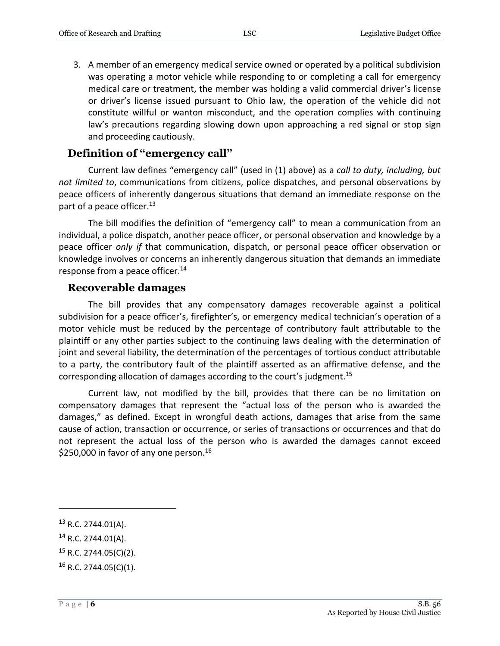3. A member of an emergency medical service owned or operated by a political subdivision was operating a motor vehicle while responding to or completing a call for emergency medical care or treatment, the member was holding a valid commercial driver's license or driver's license issued pursuant to Ohio law, the operation of the vehicle did not constitute willful or wanton misconduct, and the operation complies with continuing law's precautions regarding slowing down upon approaching a red signal or stop sign and proceeding cautiously.

#### **Definition of "emergency call"**

Current law defines "emergency call" (used in (1) above) as a *call to duty, including, but not limited to*, communications from citizens, police dispatches, and personal observations by peace officers of inherently dangerous situations that demand an immediate response on the part of a peace officer.<sup>13</sup>

The bill modifies the definition of "emergency call" to mean a communication from an individual, a police dispatch, another peace officer, or personal observation and knowledge by a peace officer *only if* that communication, dispatch, or personal peace officer observation or knowledge involves or concerns an inherently dangerous situation that demands an immediate response from a peace officer.<sup>14</sup>

#### **Recoverable damages**

The bill provides that any compensatory damages recoverable against a political subdivision for a peace officer's, firefighter's, or emergency medical technician's operation of a motor vehicle must be reduced by the percentage of contributory fault attributable to the plaintiff or any other parties subject to the continuing laws dealing with the determination of joint and several liability, the determination of the percentages of tortious conduct attributable to a party, the contributory fault of the plaintiff asserted as an affirmative defense, and the corresponding allocation of damages according to the court's judgment.<sup>15</sup>

Current law, not modified by the bill, provides that there can be no limitation on compensatory damages that represent the "actual loss of the person who is awarded the damages," as defined. Except in wrongful death actions, damages that arise from the same cause of action, transaction or occurrence, or series of transactions or occurrences and that do not represent the actual loss of the person who is awarded the damages cannot exceed \$250,000 in favor of any one person.<sup>16</sup>

<sup>&</sup>lt;sup>13</sup> R.C. 2744.01(A).

<sup>14</sup> R.C. 2744.01(A).

<sup>15</sup> R.C. 2744.05(C)(2).

 $16$  R.C. 2744.05(C)(1).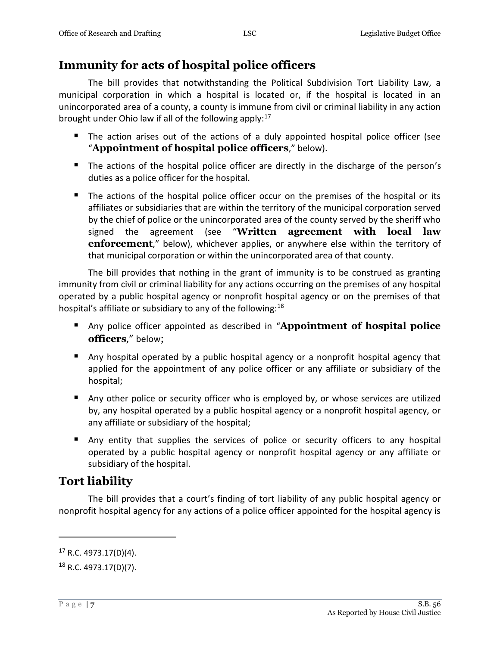# **Immunity for acts of hospital police officers**

The bill provides that notwithstanding the Political Subdivision Tort Liability Law, a municipal corporation in which a hospital is located or, if the hospital is located in an unincorporated area of a county, a county is immune from civil or criminal liability in any action brought under Ohio law if all of the following apply:<sup>17</sup>

- The action arises out of the actions of a duly appointed hospital police officer (see "**Appointment of hospital police officers**," below).
- The actions of the hospital police officer are directly in the discharge of the person's duties as a police officer for the hospital.
- The actions of the hospital police officer occur on the premises of the hospital or its affiliates or subsidiaries that are within the territory of the municipal corporation served by the chief of police or the unincorporated area of the county served by the sheriff who signed the agreement (see "**Written agreement with local law enforcement**," below), whichever applies, or anywhere else within the territory of that municipal corporation or within the unincorporated area of that county.

The bill provides that nothing in the grant of immunity is to be construed as granting immunity from civil or criminal liability for any actions occurring on the premises of any hospital operated by a public hospital agency or nonprofit hospital agency or on the premises of that hospital's affiliate or subsidiary to any of the following:<sup>18</sup>

- Any police officer appointed as described in "**Appointment of hospital police officers**," below;
- Any hospital operated by a public hospital agency or a nonprofit hospital agency that applied for the appointment of any police officer or any affiliate or subsidiary of the hospital;
- Any other police or security officer who is employed by, or whose services are utilized by, any hospital operated by a public hospital agency or a nonprofit hospital agency, or any affiliate or subsidiary of the hospital;
- Any entity that supplies the services of police or security officers to any hospital operated by a public hospital agency or nonprofit hospital agency or any affiliate or subsidiary of the hospital.

# **Tort liability**

The bill provides that a court's finding of tort liability of any public hospital agency or nonprofit hospital agency for any actions of a police officer appointed for the hospital agency is

<sup>17</sup> R.C. 4973.17(D)(4).

<sup>18</sup> R.C. 4973.17(D)(7).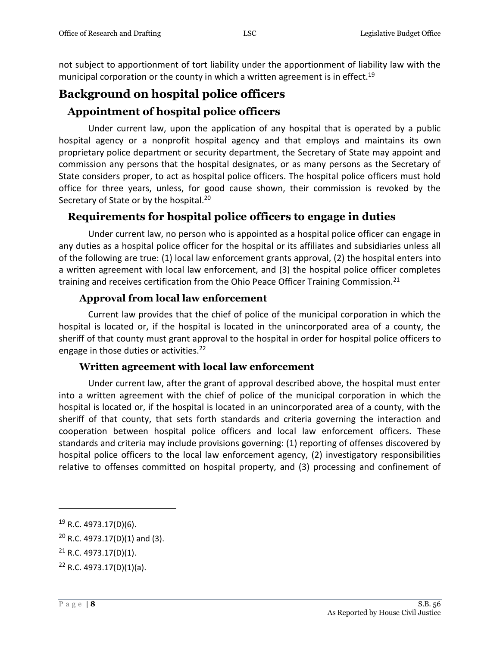not subject to apportionment of tort liability under the apportionment of liability law with the municipal corporation or the county in which a written agreement is in effect.<sup>19</sup>

# **Background on hospital police officers**

# **Appointment of hospital police officers**

Under current law, upon the application of any hospital that is operated by a public hospital agency or a nonprofit hospital agency and that employs and maintains its own proprietary police department or security department, the Secretary of State may appoint and commission any persons that the hospital designates, or as many persons as the Secretary of State considers proper, to act as hospital police officers. The hospital police officers must hold office for three years, unless, for good cause shown, their commission is revoked by the Secretary of State or by the hospital.<sup>20</sup>

# **Requirements for hospital police officers to engage in duties**

Under current law, no person who is appointed as a hospital police officer can engage in any duties as a hospital police officer for the hospital or its affiliates and subsidiaries unless all of the following are true: (1) local law enforcement grants approval, (2) the hospital enters into a written agreement with local law enforcement, and (3) the hospital police officer completes training and receives certification from the Ohio Peace Officer Training Commission.<sup>21</sup>

#### **Approval from local law enforcement**

Current law provides that the chief of police of the municipal corporation in which the hospital is located or, if the hospital is located in the unincorporated area of a county, the sheriff of that county must grant approval to the hospital in order for hospital police officers to engage in those duties or activities.<sup>22</sup>

### **Written agreement with local law enforcement**

Under current law, after the grant of approval described above, the hospital must enter into a written agreement with the chief of police of the municipal corporation in which the hospital is located or, if the hospital is located in an unincorporated area of a county, with the sheriff of that county, that sets forth standards and criteria governing the interaction and cooperation between hospital police officers and local law enforcement officers. These standards and criteria may include provisions governing: (1) reporting of offenses discovered by hospital police officers to the local law enforcement agency, (2) investigatory responsibilities relative to offenses committed on hospital property, and (3) processing and confinement of

<sup>19</sup> R.C. 4973.17(D)(6).

<sup>20</sup> R.C. 4973.17(D)(1) and (3).

 $21$  R.C. 4973.17(D)(1).

 $22$  R.C. 4973.17(D)(1)(a).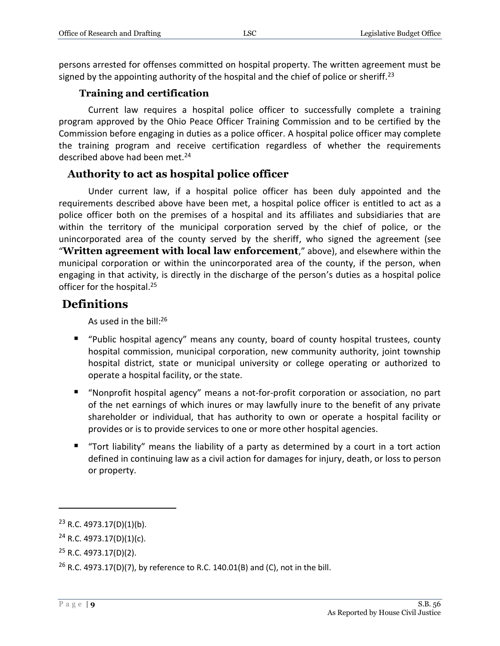persons arrested for offenses committed on hospital property. The written agreement must be signed by the appointing authority of the hospital and the chief of police or sheriff.<sup>23</sup>

#### **Training and certification**

Current law requires a hospital police officer to successfully complete a training program approved by the Ohio Peace Officer Training Commission and to be certified by the Commission before engaging in duties as a police officer. A hospital police officer may complete the training program and receive certification regardless of whether the requirements described above had been met.<sup>24</sup>

#### **Authority to act as hospital police officer**

Under current law, if a hospital police officer has been duly appointed and the requirements described above have been met, a hospital police officer is entitled to act as a police officer both on the premises of a hospital and its affiliates and subsidiaries that are within the territory of the municipal corporation served by the chief of police, or the unincorporated area of the county served by the sheriff, who signed the agreement (see "**Written agreement with local law enforcement**," above), and elsewhere within the municipal corporation or within the unincorporated area of the county, if the person, when engaging in that activity, is directly in the discharge of the person's duties as a hospital police officer for the hospital. 25

## **Definitions**

As used in the bill: $^{26}$ 

- "Public hospital agency" means any county, board of county hospital trustees, county hospital commission, municipal corporation, new community authority, joint township hospital district, state or municipal university or college operating or authorized to operate a hospital facility, or the state.
- "Nonprofit hospital agency" means a not-for-profit corporation or association, no part of the net earnings of which inures or may lawfully inure to the benefit of any private shareholder or individual, that has authority to own or operate a hospital facility or provides or is to provide services to one or more other hospital agencies.
- "Tort liability" means the liability of a party as determined by a court in a tort action defined in continuing law as a civil action for damages for injury, death, or loss to person or property.

 $23$  R.C. 4973.17(D)(1)(b).

 $24$  R.C. 4973.17(D)(1)(c).

<sup>25</sup> R.C. 4973.17(D)(2).

<sup>&</sup>lt;sup>26</sup> R.C. 4973.17(D)(7), by reference to R.C. 140.01(B) and (C), not in the bill.